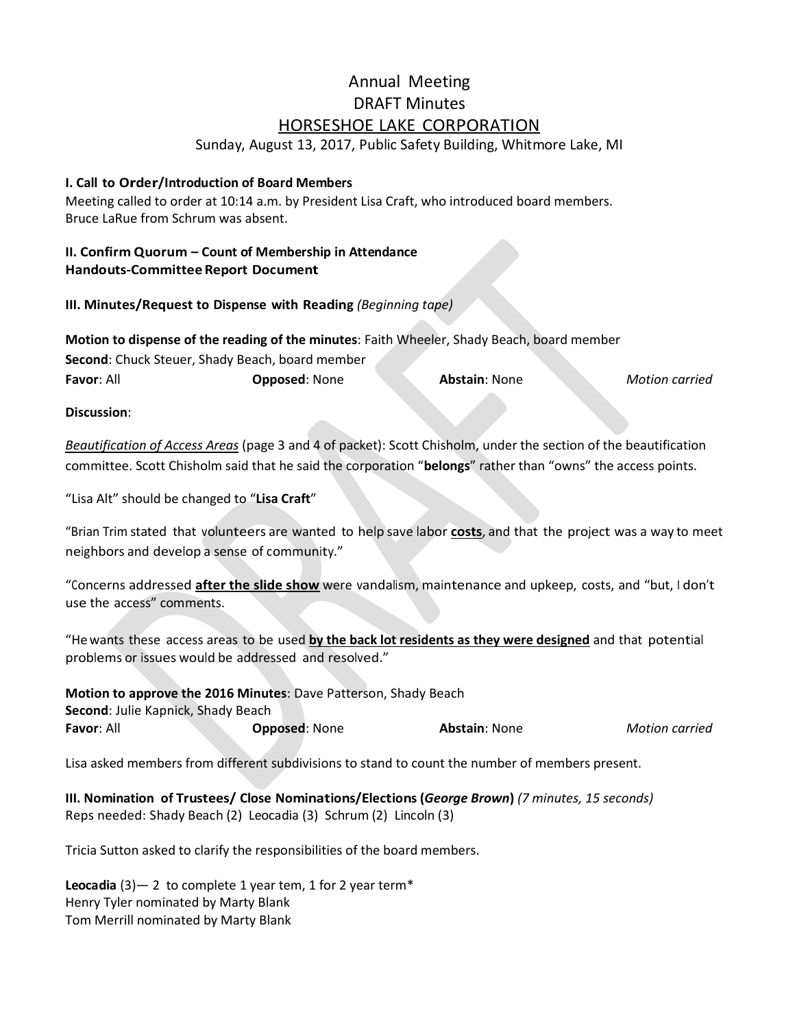# Annual Meeting DRAFT Minutes HORSESHOE LAKE CORPORATION

Sunday, August 13, 2017, Public Safety Building, Whitmore Lake, MI

## **I. Call to Order/Introduction of Board Members**

Meeting called to order at 10:14 a.m. by President Lisa Craft, who introduced board members. Bruce LaRue from Schrum was absent.

## **II. Confirm Quorum – Count of Membership in Attendance Handouts-Committee Report Document**

**III. Minutes/Request to Dispense with Reading** *(Beginning tape)*

**Motion to dispense of the reading of the minutes**: Faith Wheeler, Shady Beach, board member **Second**: Chuck Steuer, Shady Beach, board member **Favor**: All **Opposed**: None **Abstain**: None *Motion carried*

**Discussion**:

*Beautification of Access Areas* (page 3 and 4 of packet): Scott Chisholm, under the section of the beautification committee. Scott Chisholm said that he said the corporation "**belongs**" rather than "owns" the access points.

"Lisa Alt" should be changed to "**Lisa Craft**"

"Brian Trim stated that volunteers are wanted to help save labor **costs**, and that the project was a way to meet neighbors and develop a sense of community."

"Concerns addressed **after the slide show** were vandalism, maintenance and upkeep, costs, and "but, <sup>I</sup> don't use the access" comments.

"He wants these access areas to be used **by the back lot residents as they were designed** and that potential problems or issues would be addressed and resolved."

**Motion to approve the 2016 Minutes**: Dave Patterson, Shady Beach **Second**: Julie Kapnick, Shady Beach **Favor**: All **Opposed**: None **Abstain**: None *Motion carried*

Lisa asked members from different subdivisions to stand to count the number of members present.

**III. Nomination of Trustees/ Close Nominations/Elections (***George Brown***)** *(7 minutes, 15 seconds)* Reps needed: Shady Beach (2) Leocadia (3) Schrum (2) Lincoln (3)

Tricia Sutton asked to clarify the responsibilities of the board members.

**Leocadia** (3)— 2 to complete 1 year tem, 1 for 2 year term\* Henry Tyler nominated by Marty Blank Tom Merrill nominated by Marty Blank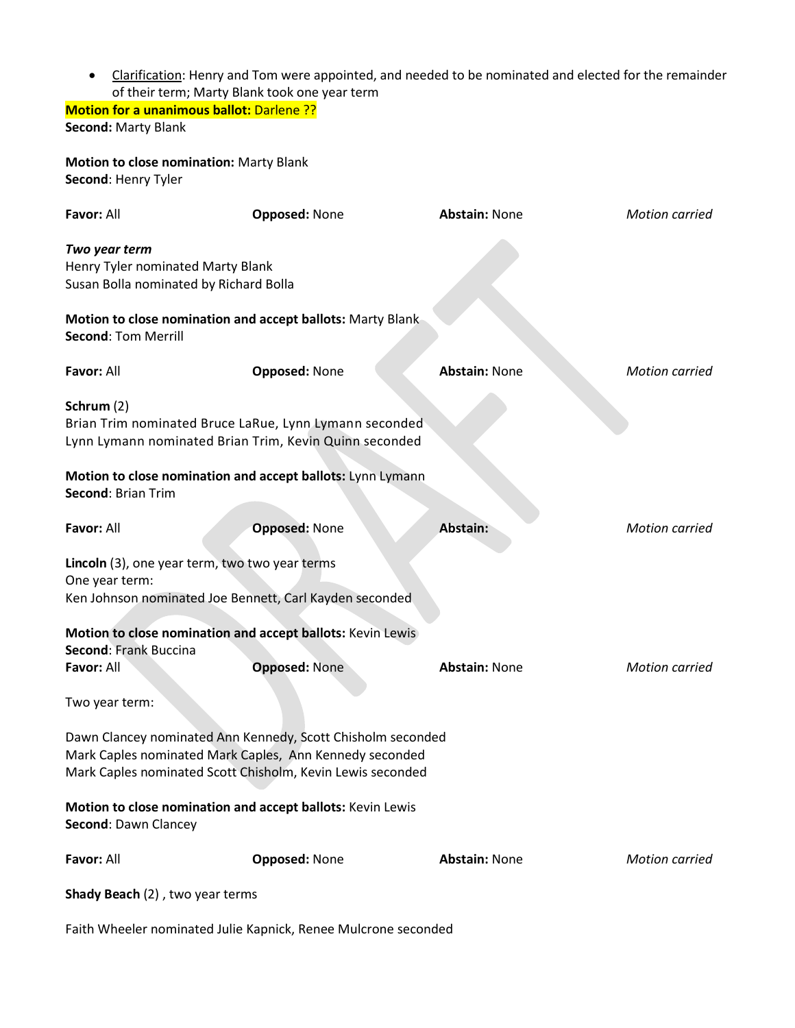Clarification: Henry and Tom were appointed, and needed to be nominated and elected for the remainder of their term; Marty Blank took one year term

**Motion for a unanimous ballot:** Darlene ?? **Second:** Marty Blank

**Motion to close nomination:** Marty Blank **Second**: Henry Tyler

| Favor: All                                                                                   | <b>Opposed: None</b>                                                                                                                                                                 | <b>Abstain: None</b> | <b>Motion carried</b> |
|----------------------------------------------------------------------------------------------|--------------------------------------------------------------------------------------------------------------------------------------------------------------------------------------|----------------------|-----------------------|
| Two year term<br>Henry Tyler nominated Marty Blank<br>Susan Bolla nominated by Richard Bolla |                                                                                                                                                                                      |                      |                       |
| <b>Second: Tom Merrill</b>                                                                   | Motion to close nomination and accept ballots: Marty Blank                                                                                                                           |                      |                       |
| Favor: All                                                                                   | <b>Opposed: None</b>                                                                                                                                                                 | <b>Abstain: None</b> | <b>Motion carried</b> |
| Schrum (2)<br><b>Second: Brian Trim</b>                                                      | Brian Trim nominated Bruce LaRue, Lynn Lymann seconded<br>Lynn Lymann nominated Brian Trim, Kevin Quinn seconded<br>Motion to close nomination and accept ballots: Lynn Lymann       |                      |                       |
| Favor: All                                                                                   | <b>Opposed: None</b>                                                                                                                                                                 | <b>Abstain:</b>      | <b>Motion carried</b> |
| Lincoln (3), one year term, two two year terms<br>One year term:<br>Second: Frank Buccina    | Ken Johnson nominated Joe Bennett, Carl Kayden seconded<br>Motion to close nomination and accept ballots: Kevin Lewis                                                                |                      |                       |
| Favor: All                                                                                   | <b>Opposed: None</b>                                                                                                                                                                 | <b>Abstain: None</b> | <b>Motion carried</b> |
| Two year term:                                                                               |                                                                                                                                                                                      |                      |                       |
|                                                                                              | Dawn Clancey nominated Ann Kennedy, Scott Chisholm seconded<br>Mark Caples nominated Mark Caples, Ann Kennedy seconded<br>Mark Caples nominated Scott Chisholm, Kevin Lewis seconded |                      |                       |
| Second: Dawn Clancey                                                                         | Motion to close nomination and accept ballots: Kevin Lewis                                                                                                                           |                      |                       |
| Favor: All                                                                                   | <b>Opposed: None</b>                                                                                                                                                                 | <b>Abstain: None</b> | <b>Motion carried</b> |
| Shady Beach (2), two year terms                                                              |                                                                                                                                                                                      |                      |                       |

Faith Wheeler nominated Julie Kapnick, Renee Mulcrone seconded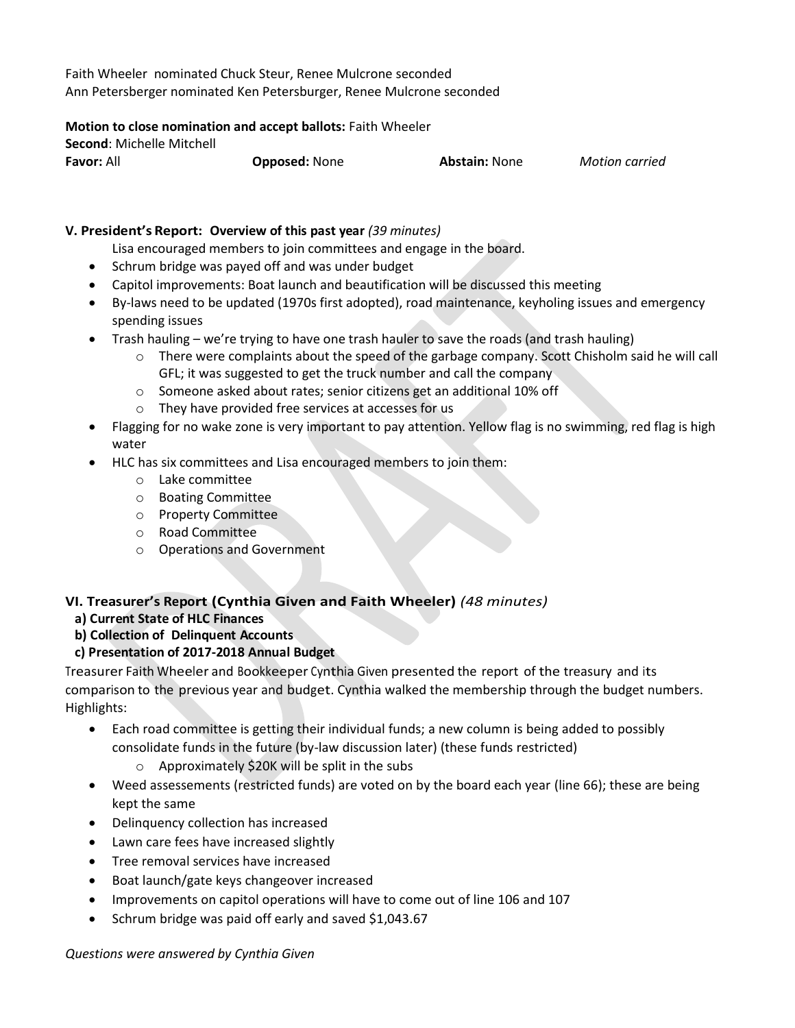Faith Wheeler nominated Chuck Steur, Renee Mulcrone seconded Ann Petersberger nominated Ken Petersburger, Renee Mulcrone seconded

## **Motion to close nomination and accept ballots:** Faith Wheeler

| <b>Second: Michelle Mitchell</b> |                      |                      |                       |
|----------------------------------|----------------------|----------------------|-----------------------|
| <b>Favor: All</b>                | <b>Opposed: None</b> | <b>Abstain: None</b> | <b>Motion carried</b> |

## **V. President's Report: Overview of this past year** *(39 minutes)*

Lisa encouraged members to join committees and engage in the board.

- Schrum bridge was payed off and was under budget
- Capitol improvements: Boat launch and beautification will be discussed this meeting
- By-laws need to be updated (1970s first adopted), road maintenance, keyholing issues and emergency spending issues
- Trash hauling we're trying to have one trash hauler to save the roads (and trash hauling)
	- o There were complaints about the speed of the garbage company. Scott Chisholm said he will call GFL; it was suggested to get the truck number and call the company
	- o Someone asked about rates; senior citizens get an additional 10% off
	- o They have provided free services at accesses for us
- Flagging for no wake zone is very important to pay attention. Yellow flag is no swimming, red flag is high water
- HLC has six committees and Lisa encouraged members to join them:
	- o Lake committee
	- o Boating Committee
	- o Property Committee
	- o Road Committee
	- o Operations and Government

# **VI. Treasurer's Report (Cynthia Given and Faith Wheeler)** *(48 minutes)*

- **a) Current State of HLC Finances**
- **b) Collection of Delinquent Accounts**

# **c) Presentation of 2017-2018 Annual Budget**

Treasurer Faith Wheeler and Bookkeeper Cynthia Given presented the report of the treasury and its comparison to the previous year and budget. Cynthia walked the membership through the budget numbers. Highlights:

- Each road committee is getting their individual funds; a new column is being added to possibly consolidate funds in the future (by-law discussion later) (these funds restricted)
	- o Approximately \$20K will be split in the subs
- Weed assessements (restricted funds) are voted on by the board each year (line 66); these are being kept the same
- Delinquency collection has increased
- Lawn care fees have increased slightly
- Tree removal services have increased
- Boat launch/gate keys changeover increased
- Improvements on capitol operations will have to come out of line 106 and 107
- Schrum bridge was paid off early and saved \$1,043.67

## *Questions were answered by Cynthia Given*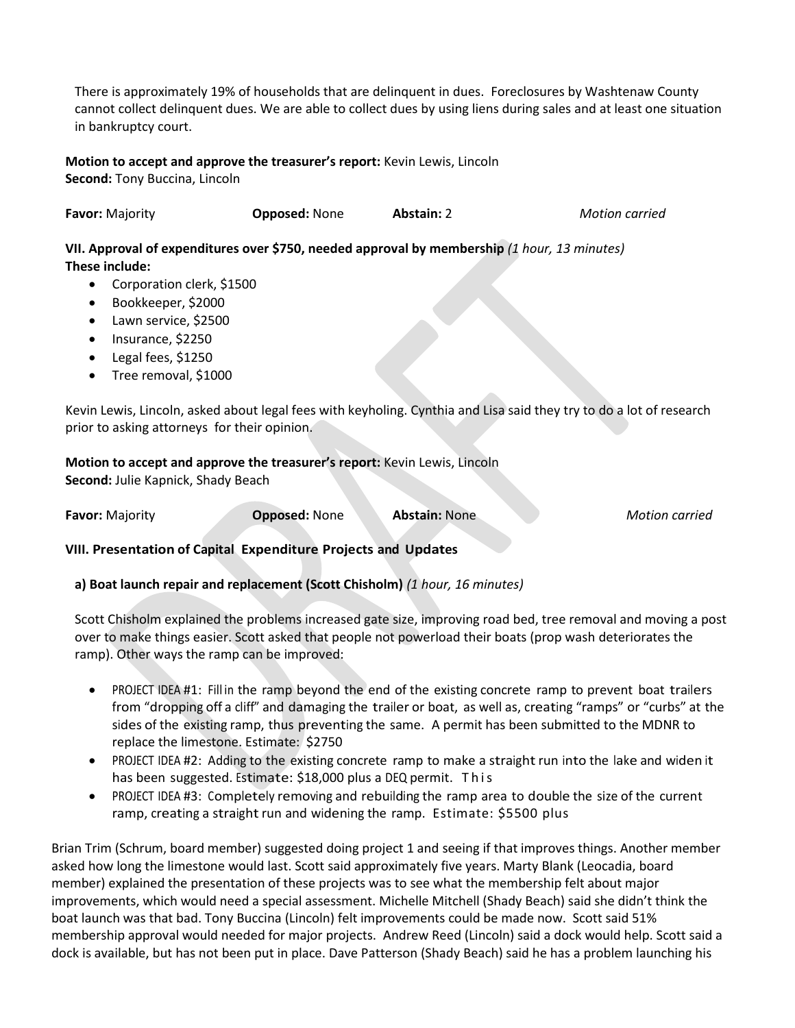There is approximately 19% of households that are delinquent in dues. Foreclosures by Washtenaw County cannot collect delinquent dues. We are able to collect dues by using liens during sales and at least one situation in bankruptcy court.

## **Motion to accept and approve the treasurer's report:** Kevin Lewis, Lincoln

**Second:** Tony Buccina, Lincoln

| Favor: Majority | <b>Opposed: None</b> | <b>Abstain: 2</b> | Motion carried |
|-----------------|----------------------|-------------------|----------------|
|-----------------|----------------------|-------------------|----------------|

**VII. Approval of expenditures over \$750, needed approval by membership** *(1 hour, 13 minutes)* **These include:**

- Corporation clerk, \$1500
- Bookkeeper, \$2000
- Lawn service, \$2500
- Insurance, \$2250
- Legal fees, \$1250
- Tree removal, \$1000

Kevin Lewis, Lincoln, asked about legal fees with keyholing. Cynthia and Lisa said they try to do a lot of research prior to asking attorneys for their opinion.

## **Motion to accept and approve the treasurer's report:** Kevin Lewis, Lincoln

**Second:** Julie Kapnick, Shady Beach

**Favor:** Majority **Opposed:** None **Abstain:** None *Motion carried*

**VIII. Presentation of Capital Expenditure Projects and Updates**

**a) Boat launch repair and replacement (Scott Chisholm)** *(1 hour, 16 minutes)*

Scott Chisholm explained the problems increased gate size, improving road bed, tree removal and moving a post over to make things easier. Scott asked that people not powerload their boats (prop wash deteriorates the ramp). Other ways the ramp can be improved:

- PROJECT IDEA #1: Fill in the ramp beyond the end of the existing concrete ramp to prevent boat trailers from "dropping off a cliff" and damaging the trailer or boat, as well as, creating "ramps" or "curbs" at the sides of the existing ramp, thus preventing the same. A permit has been submitted to the MDNR to replace the limestone. Estimate: \$2750
- PROJECT IDEA #2: Adding to the existing concrete ramp to make a straight run into the lake and widen it has been suggested. Estimate: \$18,000 plus a DEQ permit. This
- PROJECT IDEA #3: Completely removing and rebuilding the ramp area to double the size of the current ramp, creating a straight run and widening the ramp. Estimate: \$5500 plus

Brian Trim (Schrum, board member) suggested doing project 1 and seeing if that improves things. Another member asked how long the limestone would last. Scott said approximately five years. Marty Blank (Leocadia, board member) explained the presentation of these projects was to see what the membership felt about major improvements, which would need a special assessment. Michelle Mitchell (Shady Beach) said she didn't think the boat launch was that bad. Tony Buccina (Lincoln) felt improvements could be made now. Scott said 51% membership approval would needed for major projects. Andrew Reed (Lincoln) said a dock would help. Scott said a dock is available, but has not been put in place. Dave Patterson (Shady Beach) said he has a problem launching his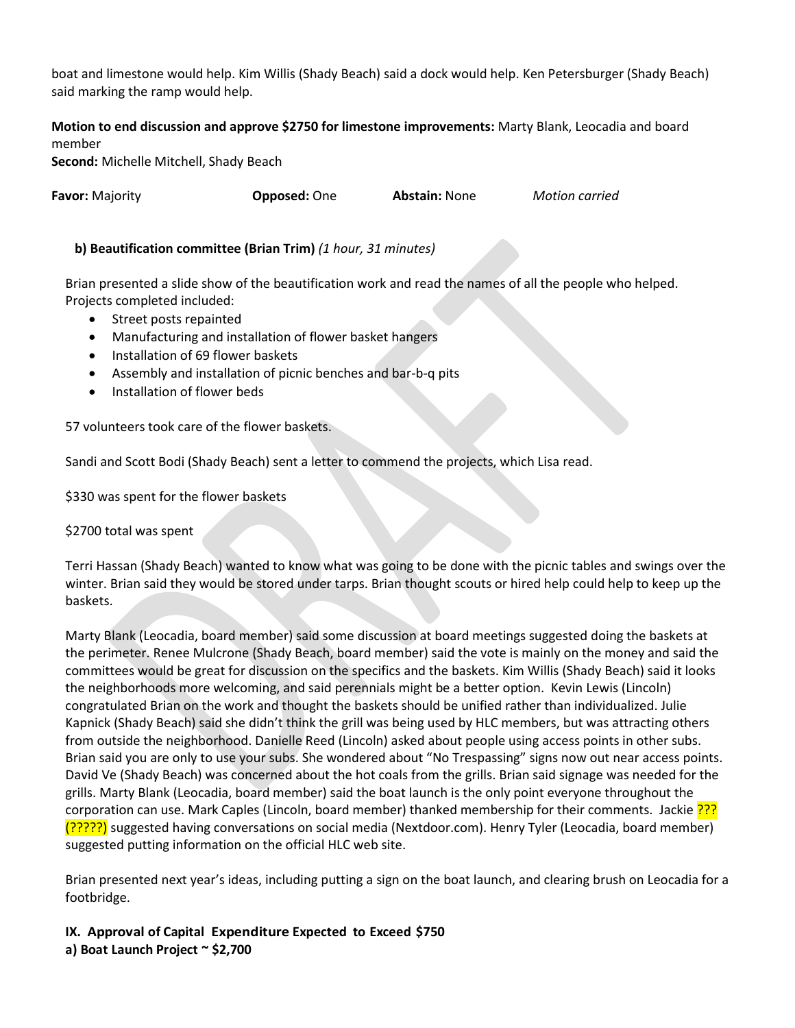boat and limestone would help. Kim Willis (Shady Beach) said a dock would help. Ken Petersburger (Shady Beach) said marking the ramp would help.

**Motion to end discussion and approve \$2750 for limestone improvements:** Marty Blank, Leocadia and board member

**Second:** Michelle Mitchell, Shady Beach

**Favor:** Majority **Opposed:** One **Abstain:** None *Motion carried*

# **b) Beautification committee (Brian Trim)** *(1 hour, 31 minutes)*

Brian presented a slide show of the beautification work and read the names of all the people who helped. Projects completed included:

- Street posts repainted
- Manufacturing and installation of flower basket hangers
- Installation of 69 flower baskets
- Assembly and installation of picnic benches and bar-b-q pits
- **•** Installation of flower beds

57 volunteers took care of the flower baskets.

Sandi and Scott Bodi (Shady Beach) sent a letter to commend the projects, which Lisa read.

\$330 was spent for the flower baskets

\$2700 total was spent

Terri Hassan (Shady Beach) wanted to know what was going to be done with the picnic tables and swings over the winter. Brian said they would be stored under tarps. Brian thought scouts or hired help could help to keep up the baskets.

Marty Blank (Leocadia, board member) said some discussion at board meetings suggested doing the baskets at the perimeter. Renee Mulcrone (Shady Beach, board member) said the vote is mainly on the money and said the committees would be great for discussion on the specifics and the baskets. Kim Willis (Shady Beach) said it looks the neighborhoods more welcoming, and said perennials might be a better option. Kevin Lewis (Lincoln) congratulated Brian on the work and thought the baskets should be unified rather than individualized. Julie Kapnick (Shady Beach) said she didn't think the grill was being used by HLC members, but was attracting others from outside the neighborhood. Danielle Reed (Lincoln) asked about people using access points in other subs. Brian said you are only to use your subs. She wondered about "No Trespassing" signs now out near access points. David Ve (Shady Beach) was concerned about the hot coals from the grills. Brian said signage was needed for the grills. Marty Blank (Leocadia, board member) said the boat launch is the only point everyone throughout the corporation can use. Mark Caples (Lincoln, board member) thanked membership for their comments. Jackie ??? (?????) suggested having conversations on social media (Nextdoor.com). Henry Tyler (Leocadia, board member) suggested putting information on the official HLC web site.

Brian presented next year's ideas, including putting a sign on the boat launch, and clearing brush on Leocadia for a footbridge.

**IX. Approval of Capital Expenditure Expected to Exceed \$750 a) Boat Launch Project ~ \$2,700**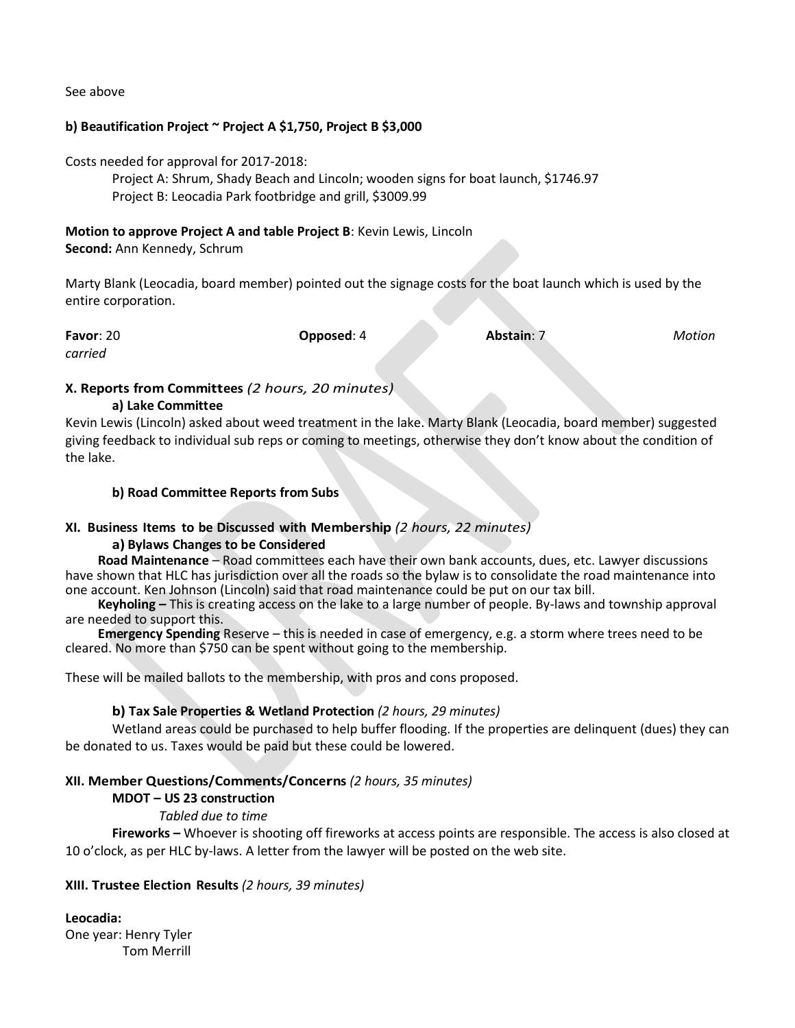See above

## **b) Beautification Project ~ Project A \$1,750, Project B \$3,000**

Costs needed for approval for 2017-2018:

Project A: Shrum, Shady Beach and Lincoln; wooden signs for boat launch, \$1746.97 Project B: Leocadia Park footbridge and grill, \$3009.99

#### **Motion to approve Project A and table Project B**: Kevin Lewis, Lincoln

**Second:** Ann Kennedy, Schrum

Marty Blank (Leocadia, board member) pointed out the signage costs for the boat launch which is used by the entire corporation.

| Favor: 20 | Opposed: 4 | Abstain: 7 | Motion |
|-----------|------------|------------|--------|
| carried   |            |            |        |

## **X. Reports from Committees** *(2 hours, 20 minutes)*

## **a) Lake Committee**

Kevin Lewis (Lincoln) asked about weed treatment in the lake. Marty Blank (Leocadia, board member) suggested giving feedback to individual sub reps or coming to meetings, otherwise they don't know about the condition of the lake.

## **b) Road Committee Reports from Subs**

## **XI. Business Items to be Discussed with Membership** *(2 hours, 22 minutes)*

## **a) Bylaws Changes to be Considered**

 **Road Maintenance** – Road committees each have their own bank accounts, dues, etc. Lawyer discussions have shown that HLC has jurisdiction over all the roads so the bylaw is to consolidate the road maintenance into one account. Ken Johnson (Lincoln) said that road maintenance could be put on our tax bill.

 **Keyholing –** This is creating access on the lake to a large number of people. By-laws and township approval are needed to support this.

 **Emergency Spending** Reserve – this is needed in case of emergency, e.g. a storm where trees need to be cleared. No more than \$750 can be spent without going to the membership.

These will be mailed ballots to the membership, with pros and cons proposed.

## **b) Tax Sale Properties & Wetland Protection** *(2 hours, 29 minutes)*

Wetland areas could be purchased to help buffer flooding. If the properties are delinquent (dues) they can be donated to us. Taxes would be paid but these could be lowered.

## **XII. Member Questions/Comments/Concerns** *(2 hours, 35 minutes)*

## **MDOT – US 23 construction**

## *Tabled due to time*

**Fireworks –** Whoever is shooting off fireworks at access points are responsible. The access is also closed at 10 o'clock, as per HLC by-laws. A letter from the lawyer will be posted on the web site.

## **XIII. Trustee Election Results** *(2 hours, 39 minutes)*

**Leocadia:**  One year: Henry Tyler

Tom Merrill